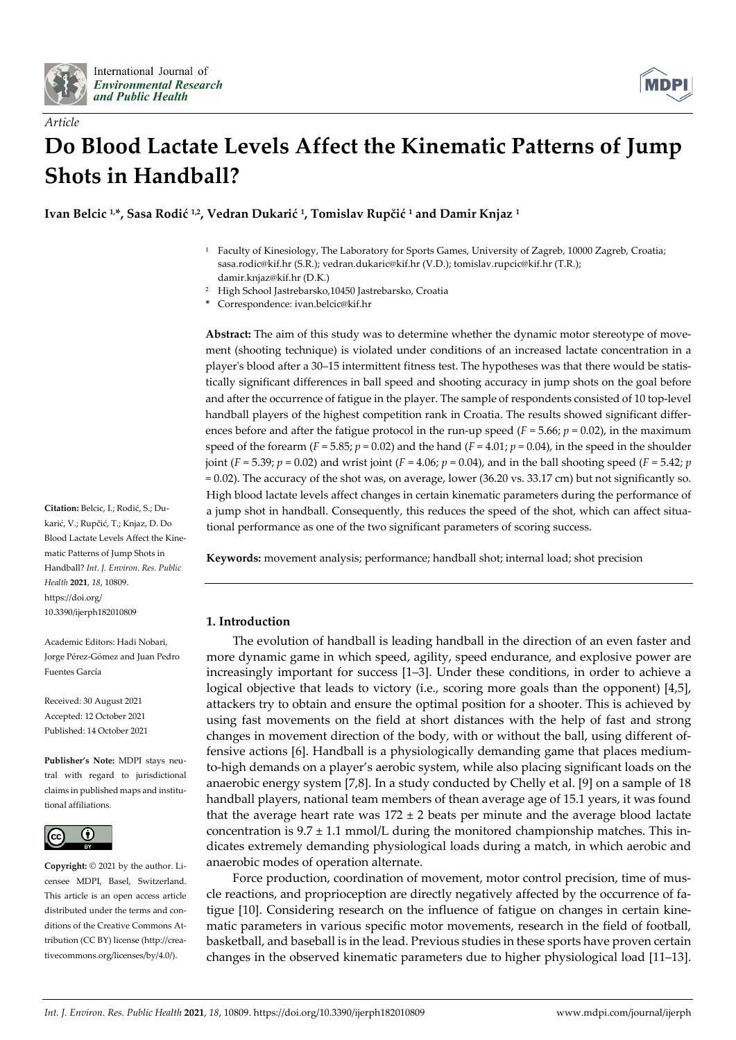

*Article*



# **Do Blood Lactate Levels Affect the Kinematic Patterns of Jump Shots in Handball?**

**Ivan Belcic 1, \*, Sasa Rodić 1,2, Vedran Dukarić 1, Tomislav Rupčić <sup>1</sup> and Damir Knjaz <sup>1</sup>**

- <sup>1</sup> Faculty of Kinesiology, The Laboratory for Sports Games, University of Zagreb, 10000 Zagreb, Croatia; sasa.rodic@kif.hr (S.R.); vedran.dukaric@kif.hr (V.D.); tomislav.rupcic@kif.hr (T.R.); damir.knjaz@kif.hr (D.K.)
- <sup>2</sup> High School Jastrebarsko,10450 Jastrebarsko, Croatia
- **\*** Correspondence: ivan.belcic@kif.hr

**Abstract:** The aim of this study was to determine whether the dynamic motor stereotype of movement (shooting technique) is violated under conditions of an increased lactate concentration in a player's blood after a 30–15 intermittent fitness test. The hypotheses was that there would be statistically significant differences in ball speed and shooting accuracy in jump shots on the goal before and after the occurrence of fatigue in the player. The sample of respondents consisted of 10 top-level handball players of the highest competition rank in Croatia. The results showed significant differences before and after the fatigue protocol in the run-up speed  $(F = 5.66; p = 0.02)$ , in the maximum speed of the forearm  $(F = 5.85; p = 0.02)$  and the hand  $(F = 4.01; p = 0.04)$ , in the speed in the shoulder joint (*F* = 5.39; *p* = 0.02) and wrist joint (*F* = 4.06; *p* = 0.04), and in the ball shooting speed (*F* = 5.42; *p* = 0.02). The accuracy of the shot was, on average, lower (36.20 vs. 33.17 cm) but not significantly so. High blood lactate levels affect changes in certain kinematic parameters during the performance of a jump shot in handball. Consequently, this reduces the speed of the shot, which can affect situational performance as one of the two significant parameters of scoring success.

**Keywords:** movement analysis; performance; handball shot; internal load; shot precision

# **1. Introduction**

The evolution of handball is leading handball in the direction of an even faster and more dynamic game in which speed, agility, speed endurance, and explosive power are increasingly important for success [1–3]. Under these conditions, in order to achieve a logical objective that leads to victory (i.e., scoring more goals than the opponent) [4,5], attackers try to obtain and ensure the optimal position for a shooter. This is achieved by using fast movements on the field at short distances with the help of fast and strong changes in movement direction of the body, with or without the ball, using different offensive actions [6]. Handball is a physiologically demanding game that places mediumto-high demands on a player's aerobic system, while also placing significant loads on the anaerobic energy system [7,8]. In a study conducted by Chelly et al. [9] on a sample of 18 handball players, national team members of thean average age of 15.1 years, it was found that the average heart rate was  $172 \pm 2$  beats per minute and the average blood lactate concentration is  $9.7 \pm 1.1$  mmol/L during the monitored championship matches. This indicates extremely demanding physiological loads during a match, in which aerobic and anaerobic modes of operation alternate.

Force production, coordination of movement, motor control precision, time of muscle reactions, and proprioception are directly negatively affected by the occurrence of fatigue [10]. Considering research on the influence of fatigue on changes in certain kinematic parameters in various specific motor movements, research in the field of football, basketball, and baseball is in the lead. Previous studies in these sports have proven certain changes in the observed kinematic parameters due to higher physiological load [11–13].

**Citation:** Belcic, I.; Rodić, S.; Dukarić, V.; Rupčić, T.; Knjaz, D. Do Blood Lactate Levels Affect the Kinematic Patterns of Jump Shots in Handball? *Int. J. Environ. Res. Public Health* **2021**, *18*, 10809. https://doi.org/ 10.3390/ijerph182010809

Academic Editors: Hadi Nobari, Jorge Pérez-Gómez and Juan Pedro Fuentes García

Received: 30 August 2021 Accepted: 12 October 2021 Published: 14 October 2021

**Publisher's Note:** MDPI stays neutral with regard to jurisdictional claims in published maps and institutional affiliations.



**Copyright:** © 2021 by the author. Licensee MDPI, Basel, Switzerland. This article is an open access article distributed under the terms and conditions of the Creative Commons Attribution (CC BY) license (http://creativecommons.org/licenses/by/4.0/).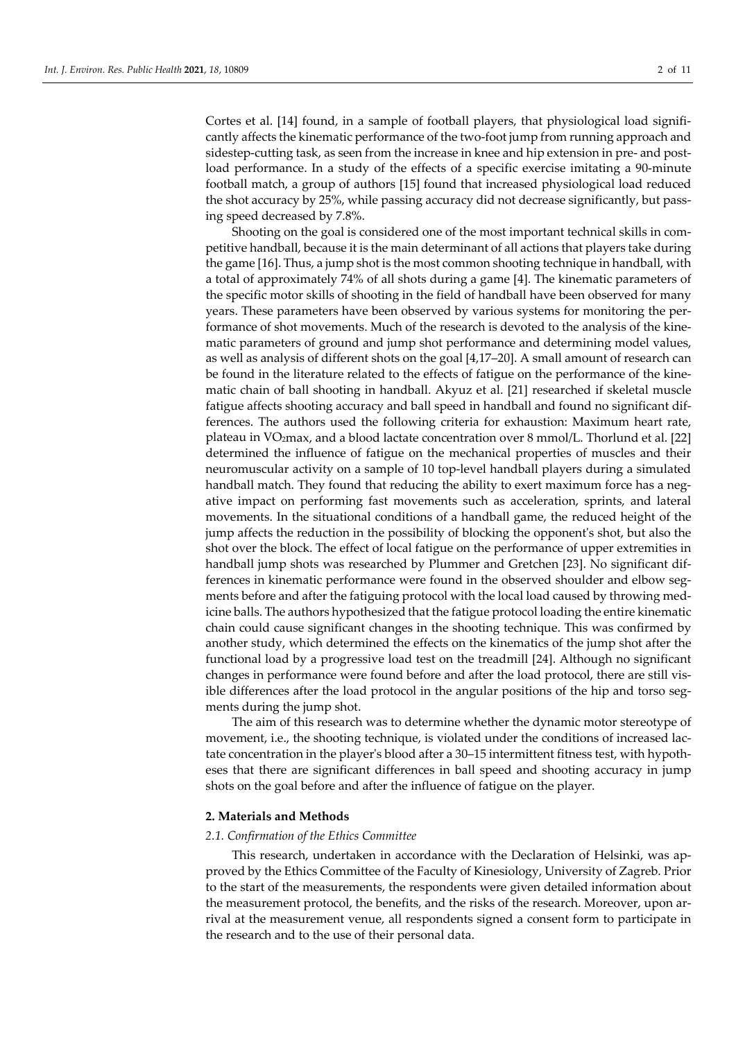Cortes et al. [14] found, in a sample of football players, that physiological load significantly affects the kinematic performance of the two-foot jump from running approach and sidestep-cutting task, as seen from the increase in knee and hip extension in pre- and postload performance. In a study of the effects of a specific exercise imitating a 90-minute football match, a group of authors [15] found that increased physiological load reduced the shot accuracy by 25%, while passing accuracy did not decrease significantly, but passing speed decreased by 7.8%.

Shooting on the goal is considered one of the most important technical skills in competitive handball, because it is the main determinant of all actions that players take during the game [16]. Thus, a jump shot is the most common shooting technique in handball, with a total of approximately 74% of all shots during a game [4]. The kinematic parameters of the specific motor skills of shooting in the field of handball have been observed for many years. These parameters have been observed by various systems for monitoring the performance of shot movements. Much of the research is devoted to the analysis of the kinematic parameters of ground and jump shot performance and determining model values, as well as analysis of different shots on the goal [4,17–20]. A small amount of research can be found in the literature related to the effects of fatigue on the performance of the kinematic chain of ball shooting in handball. Akyuz et al. [21] researched if skeletal muscle fatigue affects shooting accuracy and ball speed in handball and found no significant differences. The authors used the following criteria for exhaustion: Maximum heart rate, plateau in VO2max, and a blood lactate concentration over 8 mmol/L. Thorlund et al. [22] determined the influence of fatigue on the mechanical properties of muscles and their neuromuscular activity on a sample of 10 top-level handball players during a simulated handball match. They found that reducing the ability to exert maximum force has a negative impact on performing fast movements such as acceleration, sprints, and lateral movements. In the situational conditions of a handball game, the reduced height of the jump affects the reduction in the possibility of blocking the opponent's shot, but also the shot over the block. The effect of local fatigue on the performance of upper extremities in handball jump shots was researched by Plummer and Gretchen [23]. No significant differences in kinematic performance were found in the observed shoulder and elbow segments before and after the fatiguing protocol with the local load caused by throwing medicine balls. The authors hypothesized that the fatigue protocol loading the entire kinematic chain could cause significant changes in the shooting technique. This was confirmed by another study, which determined the effects on the kinematics of the jump shot after the functional load by a progressive load test on the treadmill [24]. Although no significant changes in performance were found before and after the load protocol, there are still visible differences after the load protocol in the angular positions of the hip and torso segments during the jump shot.

The aim of this research was to determine whether the dynamic motor stereotype of movement, i.e., the shooting technique, is violated under the conditions of increased lactate concentration in the player's blood after a 30–15 intermittent fitness test, with hypotheses that there are significant differences in ball speed and shooting accuracy in jump shots on the goal before and after the influence of fatigue on the player.

#### **2. Materials and Methods**

#### *2.1. Confirmation of the Ethics Committee*

This research, undertaken in accordance with the Declaration of Helsinki, was approved by the Ethics Committee of the Faculty of Kinesiology, University of Zagreb. Prior to the start of the measurements, the respondents were given detailed information about the measurement protocol, the benefits, and the risks of the research. Moreover, upon arrival at the measurement venue, all respondents signed a consent form to participate in the research and to the use of their personal data.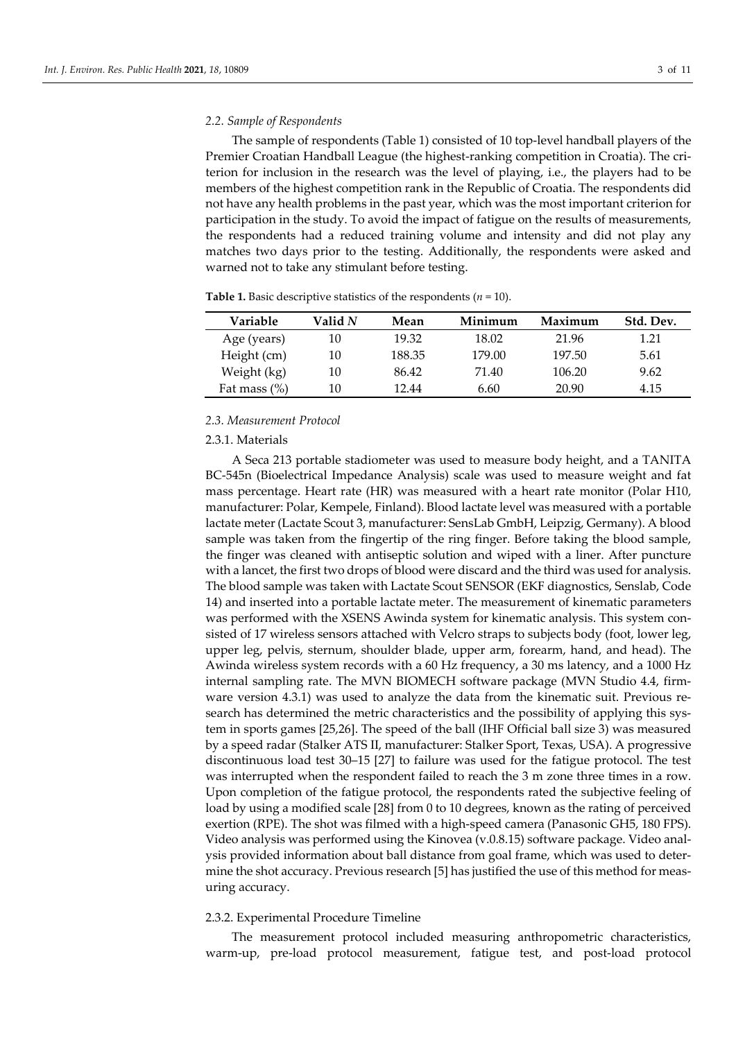#### *2.2. Sample of Respondents*

The sample of respondents (Table 1) consisted of 10 top-level handball players of the Premier Croatian Handball League (the highest-ranking competition in Croatia). The criterion for inclusion in the research was the level of playing, i.e., the players had to be members of the highest competition rank in the Republic of Croatia. The respondents did not have any health problems in the past year, which was the most important criterion for participation in the study. To avoid the impact of fatigue on the results of measurements, the respondents had a reduced training volume and intensity and did not play any matches two days prior to the testing. Additionally, the respondents were asked and warned not to take any stimulant before testing.

| Variable        | Valid N | Mean   | Minimum | Maximum | Std. Dev. |  |
|-----------------|---------|--------|---------|---------|-----------|--|
| Age (years)     | 10      | 19.32  | 18.02   | 21.96   | 1.21      |  |
| Height (cm)     | 10      | 188.35 | 179.00  | 197.50  | 5.61      |  |
| Weight (kg)     | 10      | 86.42  | 71.40   | 106.20  | 9.62      |  |
| Fat mass $(\%)$ | 10      | 12.44  | 6.60    | 20.90   | 4.15      |  |

**Table 1.** Basic descriptive statistics of the respondents  $(n = 10)$ .

#### *2.3. Measurement Protocol*

#### 2.3.1. Materials

A Seca 213 portable stadiometer was used to measure body height, and a TANITA BC-545n (Bioelectrical Impedance Analysis) scale was used to measure weight and fat mass percentage. Heart rate (HR) was measured with a heart rate monitor (Polar H10, manufacturer: Polar, Kempele, Finland). Blood lactate level was measured with a portable lactate meter (Lactate Scout 3, manufacturer: SensLab GmbH, Leipzig, Germany). A blood sample was taken from the fingertip of the ring finger. Before taking the blood sample, the finger was cleaned with antiseptic solution and wiped with a liner. After puncture with a lancet, the first two drops of blood were discard and the third was used for analysis. The blood sample was taken with Lactate Scout SENSOR (EKF diagnostics, Senslab, Code 14) and inserted into a portable lactate meter. The measurement of kinematic parameters was performed with the XSENS Awinda system for kinematic analysis. This system consisted of 17 wireless sensors attached with Velcro straps to subjects body (foot, lower leg, upper leg, pelvis, sternum, shoulder blade, upper arm, forearm, hand, and head). The Awinda wireless system records with a 60 Hz frequency, a 30 ms latency, and a 1000 Hz internal sampling rate. The MVN BIOMECH software package (MVN Studio 4.4, firmware version 4.3.1) was used to analyze the data from the kinematic suit. Previous research has determined the metric characteristics and the possibility of applying this system in sports games [25,26]. The speed of the ball (IHF Official ball size 3) was measured by a speed radar (Stalker ATS II, manufacturer: Stalker Sport, Texas, USA). A progressive discontinuous load test 30–15 [27] to failure was used for the fatigue protocol. The test was interrupted when the respondent failed to reach the 3 m zone three times in a row. Upon completion of the fatigue protocol, the respondents rated the subjective feeling of load by using a modified scale [28] from 0 to 10 degrees, known as the rating of perceived exertion (RPE). The shot was filmed with a high-speed camera (Panasonic GH5, 180 FPS). Video analysis was performed using the Kinovea (v.0.8.15) software package. Video analysis provided information about ball distance from goal frame, which was used to determine the shot accuracy. Previous research [5] has justified the use of this method for measuring accuracy.

### 2.3.2. Experimental Procedure Timeline

The measurement protocol included measuring anthropometric characteristics, warm-up, pre-load protocol measurement, fatigue test, and post-load protocol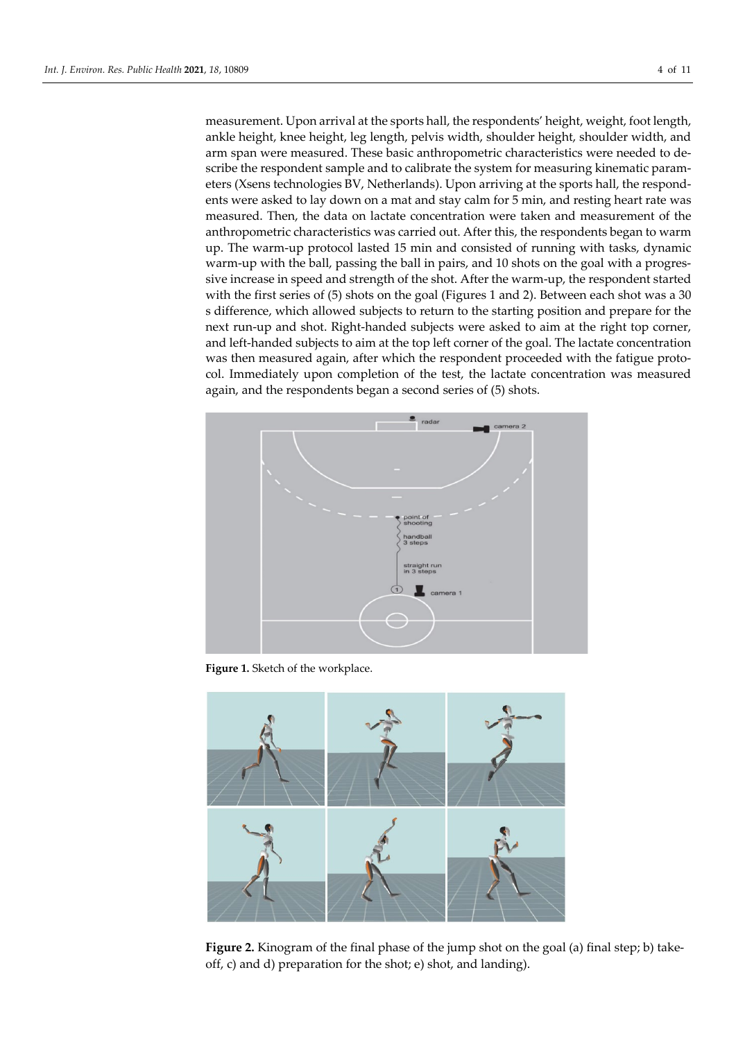measurement. Upon arrival at the sports hall, the respondents' height, weight, foot length, ankle height, knee height, leg length, pelvis width, shoulder height, shoulder width, and arm span were measured. These basic anthropometric characteristics were needed to describe the respondent sample and to calibrate the system for measuring kinematic parameters (Xsens technologies BV, Netherlands). Upon arriving at the sports hall, the respondents were asked to lay down on a mat and stay calm for 5 min, and resting heart rate was measured. Then, the data on lactate concentration were taken and measurement of the anthropometric characteristics was carried out. After this, the respondents began to warm up. The warm-up protocol lasted 15 min and consisted of running with tasks, dynamic warm-up with the ball, passing the ball in pairs, and 10 shots on the goal with a progressive increase in speed and strength of the shot. After the warm-up, the respondent started with the first series of (5) shots on the goal (Figures 1 and 2). Between each shot was a 30 s difference, which allowed subjects to return to the starting position and prepare for the next run-up and shot. Right-handed subjects were asked to aim at the right top corner, and left-handed subjects to aim at the top left corner of the goal. The lactate concentration was then measured again, after which the respondent proceeded with the fatigue protocol. Immediately upon completion of the test, the lactate concentration was measured again, and the respondents began a second series of (5) shots.



Figure 1. Sketch of the workplace.



**Figure 2.** Kinogram of the final phase of the jump shot on the goal (a) final step; b) takeoff, c) and d) preparation for the shot; e) shot, and landing).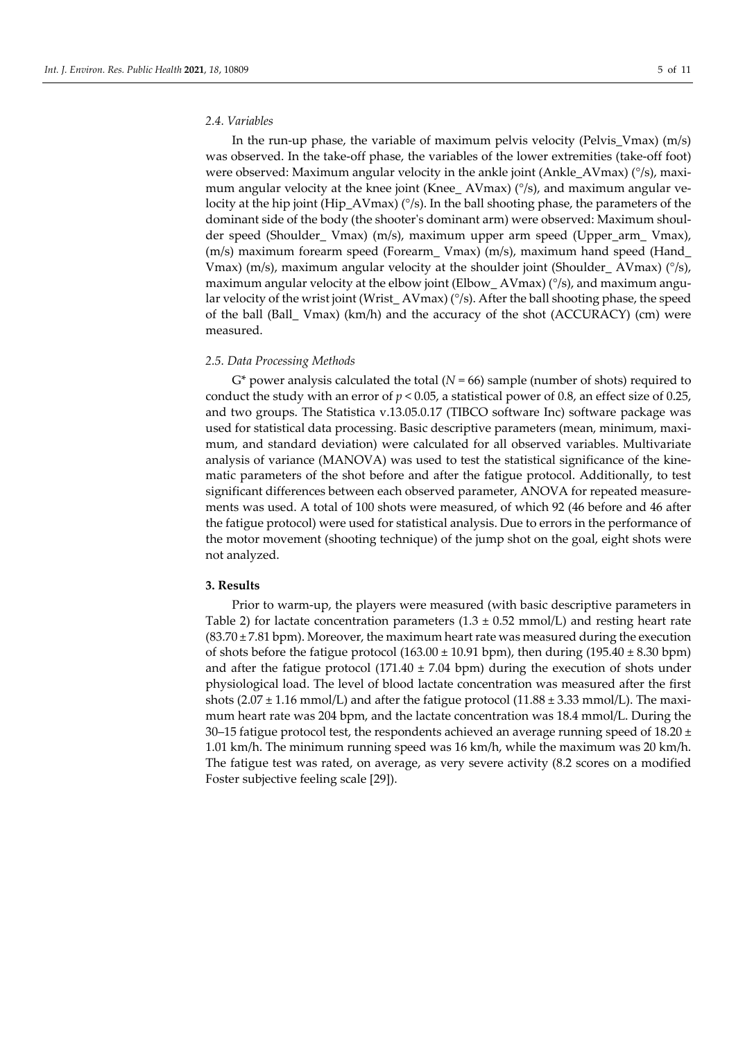#### *2.4. Variables*

In the run-up phase, the variable of maximum pelvis velocity (Pelvis\_Vmax) (m/s) was observed. In the take-off phase, the variables of the lower extremities (take-off foot) were observed: Maximum angular velocity in the ankle joint (Ankle AVmax) ( $\degree$ /s), maximum angular velocity at the knee joint (Knee\_ AVmax)  $(^{\circ}/s)$ , and maximum angular velocity at the hip joint (Hip\_AVmax) ( $\degree$ /s). In the ball shooting phase, the parameters of the dominant side of the body (the shooter's dominant arm) were observed: Maximum shoulder speed (Shoulder\_ Vmax) (m/s), maximum upper arm speed (Upper\_arm\_ Vmax), (m/s) maximum forearm speed (Forearm\_ Vmax) (m/s), maximum hand speed (Hand\_ Vmax) (m/s), maximum angular velocity at the shoulder joint (Shoulder AVmax) ( $\degree$ /s), maximum angular velocity at the elbow joint (Elbow\_AVmax)  $(^{\circ}/s)$ , and maximum angular velocity of the wrist joint (Wrist\_AVmax) (°/s). After the ball shooting phase, the speed of the ball (Ball\_ Vmax) (km/h) and the accuracy of the shot (ACCURACY) (cm) were measured.

### *2.5. Data Processing Methods*

 $G^*$  power analysis calculated the total ( $N = 66$ ) sample (number of shots) required to conduct the study with an error of *p* < 0.05, a statistical power of 0.8, an effect size of 0.25, and two groups. The Statistica v.13.05.0.17 (TIBCO software Inc) software package was used for statistical data processing. Basic descriptive parameters (mean, minimum, maximum, and standard deviation) were calculated for all observed variables. Multivariate analysis of variance (MANOVA) was used to test the statistical significance of the kinematic parameters of the shot before and after the fatigue protocol. Additionally, to test significant differences between each observed parameter, ANOVA for repeated measurements was used. A total of 100 shots were measured, of which 92 (46 before and 46 after the fatigue protocol) were used for statistical analysis. Due to errors in the performance of the motor movement (shooting technique) of the jump shot on the goal, eight shots were not analyzed.

## **3. Results**

Prior to warm-up, the players were measured (with basic descriptive parameters in Table 2) for lactate concentration parameters  $(1.3 \pm 0.52 \text{ mmol/L})$  and resting heart rate  $(83.70 \pm 7.81$  bpm). Moreover, the maximum heart rate was measured during the execution of shots before the fatigue protocol  $(163.00 \pm 10.91 \text{ bpm})$ , then during  $(195.40 \pm 8.30 \text{ bpm})$ and after the fatigue protocol (171.40  $\pm$  7.04 bpm) during the execution of shots under physiological load. The level of blood lactate concentration was measured after the first shots  $(2.07 \pm 1.16 \text{ mmol/L})$  and after the fatigue protocol  $(11.88 \pm 3.33 \text{ mmol/L})$ . The maximum heart rate was 204 bpm, and the lactate concentration was 18.4 mmol/L. During the 30–15 fatigue protocol test, the respondents achieved an average running speed of 18.20  $\pm$ 1.01 km/h. The minimum running speed was 16 km/h, while the maximum was 20 km/h. The fatigue test was rated, on average, as very severe activity (8.2 scores on a modified Foster subjective feeling scale [29]).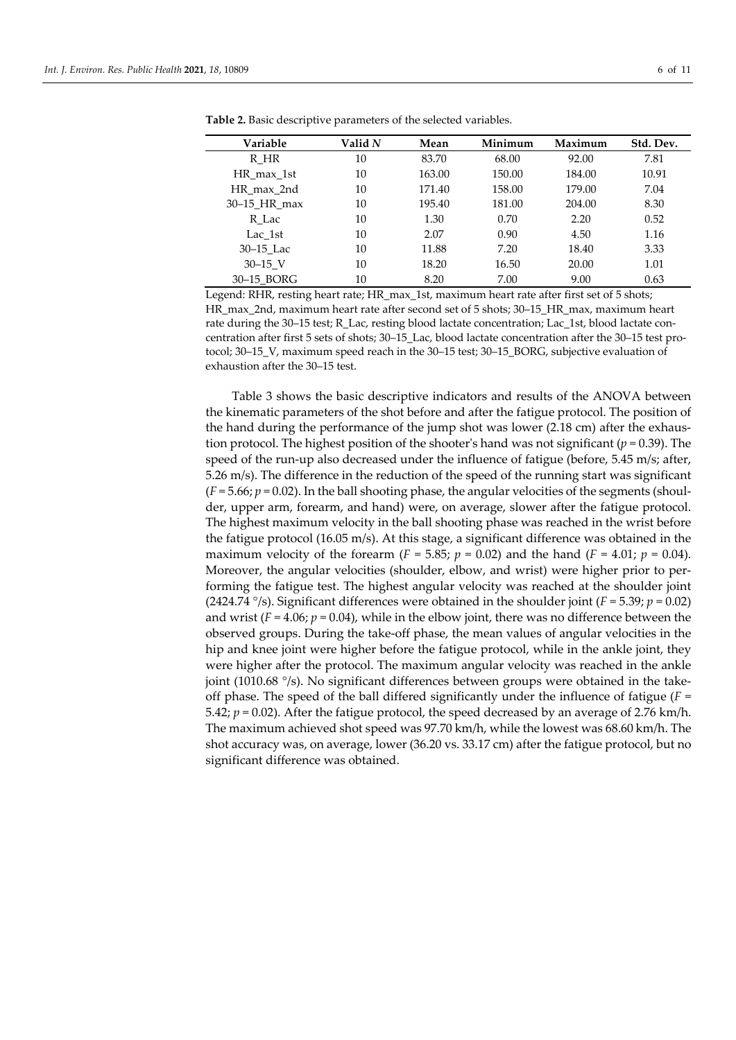| Variable     | Valid N | Mean   | Minimum | Maximum | Std. Dev. |
|--------------|---------|--------|---------|---------|-----------|
| R HR         | 10      | 83.70  | 68.00   | 92.00   | 7.81      |
| HR max 1st   | 10      | 163.00 | 150.00  | 184.00  | 10.91     |
| HR max 2nd   | 10      | 171.40 | 158.00  | 179.00  | 7.04      |
| 30–15 HR max | 10      | 195.40 | 181.00  | 204.00  | 8.30      |
| R Lac        | 10      | 1.30   | 0.70    | 2.20    | 0.52      |
| Lac 1st      | 10      | 2.07   | 0.90    | 4.50    | 1.16      |
| 30–15 Lac    | 10      | 11.88  | 7.20    | 18.40   | 3.33      |
| $30 - 15$ V  | 10      | 18.20  | 16.50   | 20.00   | 1.01      |
| 30-15 BORG   | 10      | 8.20   | 7.00    | 9.00    | 0.63      |

**Table 2.** Basic descriptive parameters of the selected variables.

Legend: RHR, resting heart rate; HR\_max\_1st, maximum heart rate after first set of 5 shots; HR\_max\_2nd, maximum heart rate after second set of 5 shots; 30–15\_HR\_max, maximum heart rate during the 30–15 test; R\_Lac, resting blood lactate concentration; Lac\_1st, blood lactate concentration after first 5 sets of shots; 30–15\_Lac, blood lactate concentration after the 30–15 test protocol; 30–15\_V, maximum speed reach in the 30–15 test; 30–15\_BORG, subjective evaluation of exhaustion after the 30–15 test.

Table 3 shows the basic descriptive indicators and results of the ANOVA between the kinematic parameters of the shot before and after the fatigue protocol. The position of the hand during the performance of the jump shot was lower (2.18 cm) after the exhaustion protocol. The highest position of the shooter's hand was not significant ( $p = 0.39$ ). The speed of the run-up also decreased under the influence of fatigue (before, 5.45 m/s; after, 5.26 m/s). The difference in the reduction of the speed of the running start was significant  $(F = 5.66; p = 0.02)$ . In the ball shooting phase, the angular velocities of the segments (shoulder, upper arm, forearm, and hand) were, on average, slower after the fatigue protocol. The highest maximum velocity in the ball shooting phase was reached in the wrist before the fatigue protocol (16.05 m/s). At this stage, a significant difference was obtained in the maximum velocity of the forearm (*F* = 5.85; *p* = 0.02) and the hand (*F* = 4.01; *p* = 0.04). Moreover, the angular velocities (shoulder, elbow, and wrist) were higher prior to performing the fatigue test. The highest angular velocity was reached at the shoulder joint (2424.74  $\degree$ /s). Significant differences were obtained in the shoulder joint ( $F = 5.39$ ;  $p = 0.02$ ) and wrist  $(F = 4.06; p = 0.04)$ , while in the elbow joint, there was no difference between the observed groups. During the take-off phase, the mean values of angular velocities in the hip and knee joint were higher before the fatigue protocol, while in the ankle joint, they were higher after the protocol. The maximum angular velocity was reached in the ankle joint (1010.68 °/s). No significant differences between groups were obtained in the takeoff phase. The speed of the ball differed significantly under the influence of fatigue (*F* = 5.42; *p* = 0.02). After the fatigue protocol, the speed decreased by an average of 2.76 km/h. The maximum achieved shot speed was 97.70 km/h, while the lowest was 68.60 km/h. The shot accuracy was, on average, lower (36.20 vs. 33.17 cm) after the fatigue protocol, but no significant difference was obtained.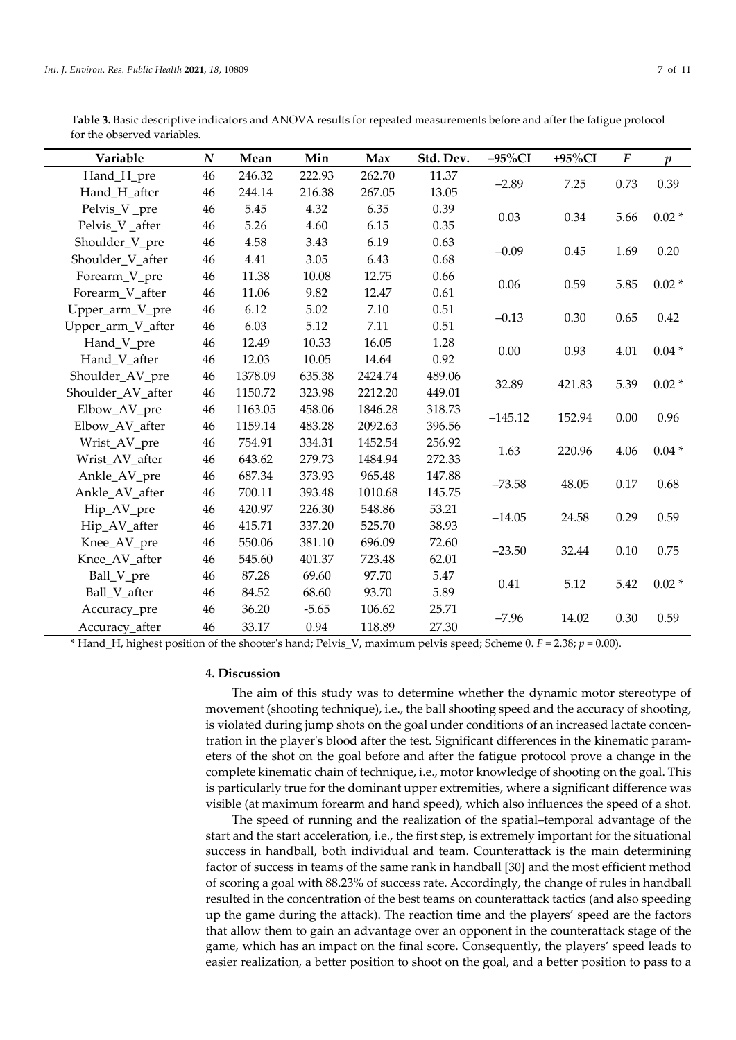|                             | Table 3. Basic descriptive indicators and ANOVA results for repeated measurements before and after the fatigue protocol |  |
|-----------------------------|-------------------------------------------------------------------------------------------------------------------------|--|
| for the observed variables. |                                                                                                                         |  |

| Variable          | $\boldsymbol{N}$ | Mean    | Min     | Max     | Std. Dev. | $-95\%CI$        | +95%CI | $\boldsymbol{F}$ | $\boldsymbol{p}$ |
|-------------------|------------------|---------|---------|---------|-----------|------------------|--------|------------------|------------------|
| Hand_H_pre        | 46               | 246.32  | 222.93  | 262.70  | 11.37     |                  |        |                  |                  |
| Hand_H_after      | 46               | 244.14  | 216.38  | 267.05  | 13.05     | $-2.89$          | 7.25   | 0.73             | 0.39             |
| Pelvis_V _pre     | 46               | 5.45    | 4.32    | 6.35    | 0.39      | 0.03             | 0.34   |                  | $0.02*$          |
| Pelvis_V_after    | 46               | 5.26    | 4.60    | 6.15    | 0.35      |                  |        | 5.66             |                  |
| Shoulder_V_pre    | 46               | 4.58    | 3.43    | 6.19    | 0.63      | $-0.09$          | 0.45   | 1.69             | 0.20             |
| Shoulder_V_after  | 46               | 4.41    | 3.05    | 6.43    | 0.68      |                  |        |                  |                  |
| Forearm_V_pre     | 46               | 11.38   | 10.08   | 12.75   | 0.66      | 0.06             | 0.59   | 5.85             | $0.02*$          |
| Forearm_V_after   | 46               | 11.06   | 9.82    | 12.47   | 0.61      |                  |        |                  |                  |
| Upper_arm_V_pre   | 46               | 6.12    | 5.02    | 7.10    | 0.51      | $-0.13$          | 0.30   | 0.65             | 0.42             |
| Upper_arm_V_after | 46               | 6.03    | 5.12    | 7.11    | 0.51      |                  |        |                  |                  |
| Hand_V_pre        | 46               | 12.49   | 10.33   | 16.05   | 1.28      | 0.00             | 0.93   | 4.01             | $0.04*$          |
| Hand_V_after      | 46               | 12.03   | 10.05   | 14.64   | 0.92      |                  |        |                  |                  |
| Shoulder_AV_pre   | 46               | 1378.09 | 635.38  | 2424.74 | 489.06    | 32.89            | 421.83 | 5.39             | $0.02*$          |
| Shoulder_AV_after | 46               | 1150.72 | 323.98  | 2212.20 | 449.01    |                  |        |                  |                  |
| Elbow_AV_pre      | 46               | 1163.05 | 458.06  | 1846.28 | 318.73    | $-145.12$        | 152.94 | 0.00             | 0.96             |
| Elbow_AV_after    | 46               | 1159.14 | 483.28  | 2092.63 | 396.56    |                  |        |                  |                  |
| Wrist_AV_pre      | 46               | 754.91  | 334.31  | 1452.54 | 256.92    | 1.63             | 220.96 | 4.06             | $0.04*$          |
| Wrist_AV_after    | 46               | 643.62  | 279.73  | 1484.94 | 272.33    |                  |        |                  |                  |
| Ankle_AV_pre      | 46               | 687.34  | 373.93  | 965.48  | 147.88    | $-73.58$         | 48.05  | 0.17             | 0.68             |
| Ankle AV after    | 46               | 700.11  | 393.48  | 1010.68 | 145.75    |                  |        |                  |                  |
| Hip_AV_pre        | 46               | 420.97  | 226.30  | 548.86  | 53.21     | $-14.05$         | 24.58  | 0.29             | 0.59             |
| Hip_AV_after      | 46               | 415.71  | 337.20  | 525.70  | 38.93     |                  |        |                  |                  |
| Knee_AV_pre       | 46               | 550.06  | 381.10  | 696.09  | 72.60     | $-23.50$         | 32.44  | 0.10             | 0.75             |
| Knee AV after     | 46               | 545.60  | 401.37  | 723.48  | 62.01     |                  |        |                  |                  |
| Ball_V_pre        | 46               | 87.28   | 69.60   | 97.70   | 5.47      | 0.41             | 5.12   | 5.42             | $0.02*$          |
| Ball V after      | 46               | 84.52   | 68.60   | 93.70   | 5.89      |                  |        |                  |                  |
| Accuracy_pre      | 46               | 36.20   | $-5.65$ | 106.62  | 25.71     | $-7.96$<br>14.02 |        | 0.30<br>0.59     |                  |
| Accuracy after    | 46               | 33.17   | 0.94    | 118.89  | 27.30     |                  |        |                  |                  |

\* Hand\_H, highest position of the shooter's hand; Pelvis\_V, maximum pelvis speed; Scheme 0. *F* = 2.38; *p* = 0.00).

# **4. Discussion**

The aim of this study was to determine whether the dynamic motor stereotype of movement (shooting technique), i.e., the ball shooting speed and the accuracy of shooting, is violated during jump shots on the goal under conditions of an increased lactate concentration in the player's blood after the test. Significant differences in the kinematic parameters of the shot on the goal before and after the fatigue protocol prove a change in the complete kinematic chain of technique, i.e., motor knowledge of shooting on the goal. This is particularly true for the dominant upper extremities, where a significant difference was visible (at maximum forearm and hand speed), which also influences the speed of a shot.

The speed of running and the realization of the spatial–temporal advantage of the start and the start acceleration, i.e., the first step, is extremely important for the situational success in handball, both individual and team. Counterattack is the main determining factor of success in teams of the same rank in handball [30] and the most efficient method of scoring a goal with 88.23% of success rate. Accordingly, the change of rules in handball resulted in the concentration of the best teams on counterattack tactics (and also speeding up the game during the attack). The reaction time and the players' speed are the factors that allow them to gain an advantage over an opponent in the counterattack stage of the game, which has an impact on the final score. Consequently, the players' speed leads to easier realization, a better position to shoot on the goal, and a better position to pass to a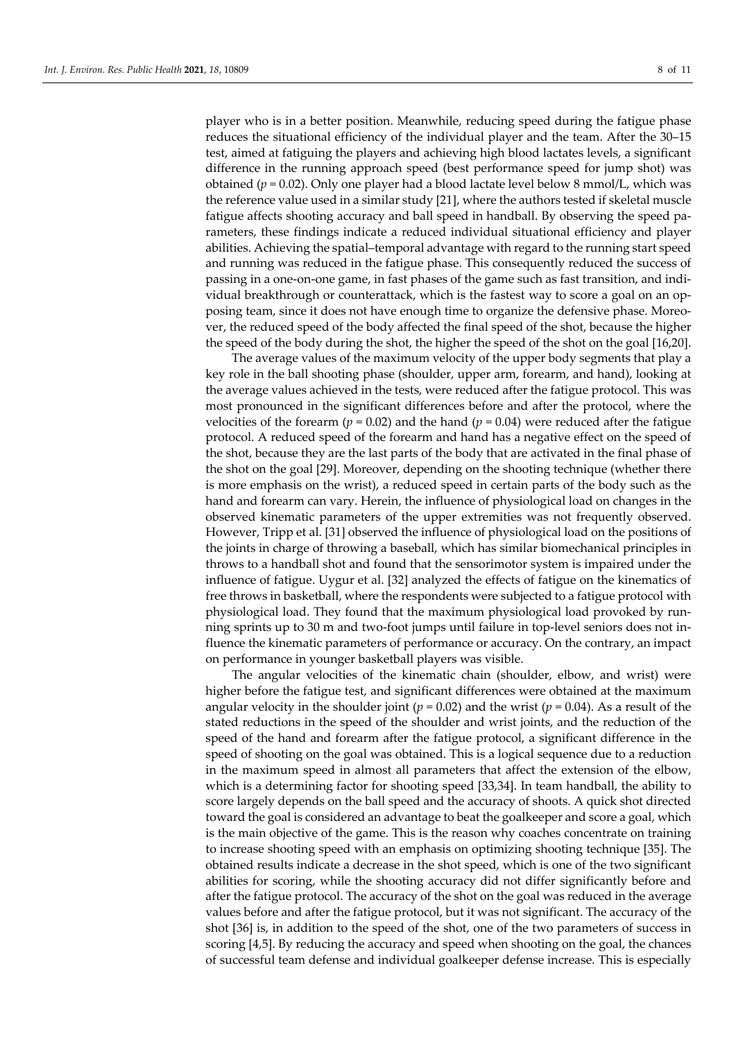player who is in a better position. Meanwhile, reducing speed during the fatigue phase reduces the situational efficiency of the individual player and the team. After the 30–15 test, aimed at fatiguing the players and achieving high blood lactates levels, a significant difference in the running approach speed (best performance speed for jump shot) was obtained ( $p = 0.02$ ). Only one player had a blood lactate level below 8 mmol/L, which was the reference value used in a similar study [21], where the authors tested if skeletal muscle fatigue affects shooting accuracy and ball speed in handball. By observing the speed parameters, these findings indicate a reduced individual situational efficiency and player abilities. Achieving the spatial–temporal advantage with regard to the running start speed and running was reduced in the fatigue phase. This consequently reduced the success of passing in a one-on-one game, in fast phases of the game such as fast transition, and individual breakthrough or counterattack, which is the fastest way to score a goal on an opposing team, since it does not have enough time to organize the defensive phase. Moreover, the reduced speed of the body affected the final speed of the shot, because the higher the speed of the body during the shot, the higher the speed of the shot on the goal [16,20].

The average values of the maximum velocity of the upper body segments that play a key role in the ball shooting phase (shoulder, upper arm, forearm, and hand), looking at the average values achieved in the tests, were reduced after the fatigue protocol. This was most pronounced in the significant differences before and after the protocol, where the velocities of the forearm ( $p = 0.02$ ) and the hand ( $p = 0.04$ ) were reduced after the fatigue protocol. A reduced speed of the forearm and hand has a negative effect on the speed of the shot, because they are the last parts of the body that are activated in the final phase of the shot on the goal [29]. Moreover, depending on the shooting technique (whether there is more emphasis on the wrist), a reduced speed in certain parts of the body such as the hand and forearm can vary. Herein, the influence of physiological load on changes in the observed kinematic parameters of the upper extremities was not frequently observed. However, Tripp et al. [31] observed the influence of physiological load on the positions of the joints in charge of throwing a baseball, which has similar biomechanical principles in throws to a handball shot and found that the sensorimotor system is impaired under the influence of fatigue. Uygur et al. [32] analyzed the effects of fatigue on the kinematics of free throws in basketball, where the respondents were subjected to a fatigue protocol with physiological load. They found that the maximum physiological load provoked by running sprints up to 30 m and two-foot jumps until failure in top-level seniors does not influence the kinematic parameters of performance or accuracy. On the contrary, an impact on performance in younger basketball players was visible.

The angular velocities of the kinematic chain (shoulder, elbow, and wrist) were higher before the fatigue test, and significant differences were obtained at the maximum angular velocity in the shoulder joint ( $p = 0.02$ ) and the wrist ( $p = 0.04$ ). As a result of the stated reductions in the speed of the shoulder and wrist joints, and the reduction of the speed of the hand and forearm after the fatigue protocol, a significant difference in the speed of shooting on the goal was obtained. This is a logical sequence due to a reduction in the maximum speed in almost all parameters that affect the extension of the elbow, which is a determining factor for shooting speed [33,34]. In team handball, the ability to score largely depends on the ball speed and the accuracy of shoots. A quick shot directed toward the goal is considered an advantage to beat the goalkeeper and score a goal, which is the main objective of the game. This is the reason why coaches concentrate on training to increase shooting speed with an emphasis on optimizing shooting technique [35]. The obtained results indicate a decrease in the shot speed, which is one of the two significant abilities for scoring, while the shooting accuracy did not differ significantly before and after the fatigue protocol. The accuracy of the shot on the goal was reduced in the average values before and after the fatigue protocol, but it was not significant. The accuracy of the shot [36] is, in addition to the speed of the shot, one of the two parameters of success in scoring [4,5]. By reducing the accuracy and speed when shooting on the goal, the chances of successful team defense and individual goalkeeper defense increase. This is especially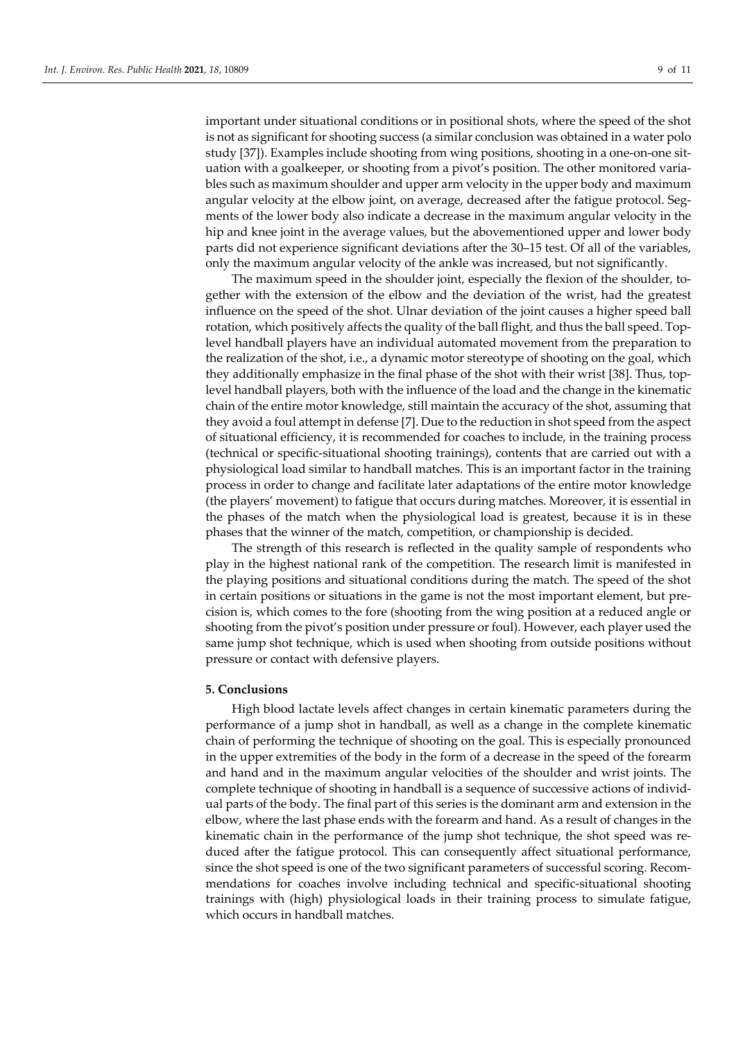important under situational conditions or in positional shots, where the speed of the shot is not as significant for shooting success (a similar conclusion was obtained in a water polo study [37]). Examples include shooting from wing positions, shooting in a one-on-one situation with a goalkeeper, or shooting from a pivot's position. The other monitored variables such as maximum shoulder and upper arm velocity in the upper body and maximum angular velocity at the elbow joint, on average, decreased after the fatigue protocol. Segments of the lower body also indicate a decrease in the maximum angular velocity in the hip and knee joint in the average values, but the abovementioned upper and lower body parts did not experience significant deviations after the 30–15 test. Of all of the variables, only the maximum angular velocity of the ankle was increased, but not significantly.

The maximum speed in the shoulder joint, especially the flexion of the shoulder, together with the extension of the elbow and the deviation of the wrist, had the greatest influence on the speed of the shot. Ulnar deviation of the joint causes a higher speed ball rotation, which positively affects the quality of the ball flight, and thus the ball speed. Toplevel handball players have an individual automated movement from the preparation to the realization of the shot, i.e., a dynamic motor stereotype of shooting on the goal, which they additionally emphasize in the final phase of the shot with their wrist [38]. Thus, toplevel handball players, both with the influence of the load and the change in the kinematic chain of the entire motor knowledge, still maintain the accuracy of the shot, assuming that they avoid a foul attempt in defense [7]. Due to the reduction in shot speed from the aspect of situational efficiency, it is recommended for coaches to include, in the training process (technical or specific-situational shooting trainings), contents that are carried out with a physiological load similar to handball matches. This is an important factor in the training process in order to change and facilitate later adaptations of the entire motor knowledge (the players' movement) to fatigue that occurs during matches. Moreover, it is essential in the phases of the match when the physiological load is greatest, because it is in these phases that the winner of the match, competition, or championship is decided.

The strength of this research is reflected in the quality sample of respondents who play in the highest national rank of the competition. The research limit is manifested in the playing positions and situational conditions during the match. The speed of the shot in certain positions or situations in the game is not the most important element, but precision is, which comes to the fore (shooting from the wing position at a reduced angle or shooting from the pivot's position under pressure or foul). However, each player used the same jump shot technique, which is used when shooting from outside positions without pressure or contact with defensive players.

## **5. Conclusions**

High blood lactate levels affect changes in certain kinematic parameters during the performance of a jump shot in handball, as well as a change in the complete kinematic chain of performing the technique of shooting on the goal. This is especially pronounced in the upper extremities of the body in the form of a decrease in the speed of the forearm and hand and in the maximum angular velocities of the shoulder and wrist joints. The complete technique of shooting in handball is a sequence of successive actions of individual parts of the body. The final part of this series is the dominant arm and extension in the elbow, where the last phase ends with the forearm and hand. As a result of changes in the kinematic chain in the performance of the jump shot technique, the shot speed was reduced after the fatigue protocol. This can consequently affect situational performance, since the shot speed is one of the two significant parameters of successful scoring. Recommendations for coaches involve including technical and specific-situational shooting trainings with (high) physiological loads in their training process to simulate fatigue, which occurs in handball matches.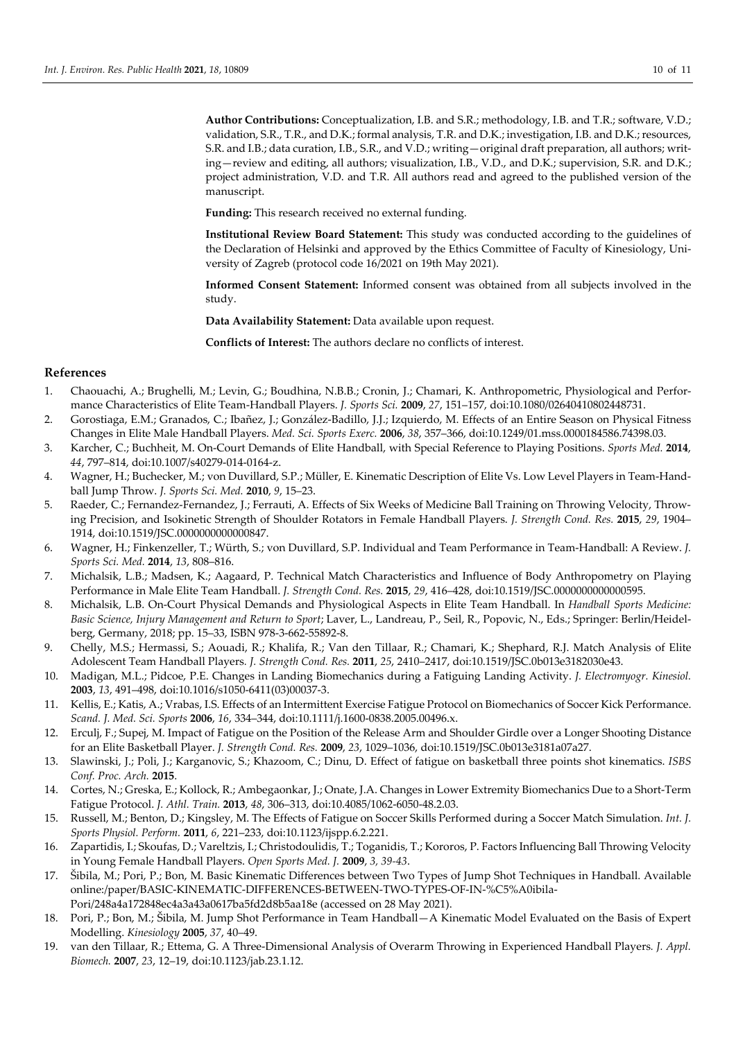**Author Contributions:** Conceptualization, I.B. and S.R.; methodology, I.B. and T.R.; software, V.D.; validation, S.R., T.R., and D.K.; formal analysis, T.R. and D.K.; investigation, I.B. and D.K.; resources, S.R. and I.B.; data curation, I.B., S.R., and V.D.; writing—original draft preparation, all authors; writing—review and editing, all authors; visualization, I.B., V.D., and D.K.; supervision, S.R. and D.K.; project administration, V.D. and T.R. All authors read and agreed to the published version of the manuscript.

**Funding:** This research received no external funding.

**Institutional Review Board Statement:** This study was conducted according to the guidelines of the Declaration of Helsinki and approved by the Ethics Committee of Faculty of Kinesiology, University of Zagreb (protocol code 16/2021 on 19th May 2021).

**Informed Consent Statement:** Informed consent was obtained from all subjects involved in the study.

**Data Availability Statement:** Data available upon request.

**Conflicts of Interest:** The authors declare no conflicts of interest.

# **References**

- 1. Chaouachi, A.; Brughelli, M.; Levin, G.; Boudhina, N.B.B.; Cronin, J.; Chamari, K. Anthropometric, Physiological and Performance Characteristics of Elite Team-Handball Players. *J. Sports Sci.* **2009**, *27*, 151–157, doi:10.1080/02640410802448731.
- 2. Gorostiaga, E.M.; Granados, C.; Ibañez, J.; González-Badillo, J.J.; Izquierdo, M. Effects of an Entire Season on Physical Fitness Changes in Elite Male Handball Players. *Med. Sci. Sports Exerc.* **2006**, *38*, 357–366, doi:10.1249/01.mss.0000184586.74398.03.
- 3. Karcher, C.; Buchheit, M. On-Court Demands of Elite Handball, with Special Reference to Playing Positions. *Sports Med.* **2014**, *44*, 797–814, doi:10.1007/s40279-014-0164-z.
- 4. Wagner, H.; Buchecker, M.; von Duvillard, S.P.; Müller, E. Kinematic Description of Elite Vs. Low Level Players in Team-Handball Jump Throw. *J. Sports Sci. Med.* **2010**, *9*, 15–23.
- 5. Raeder, C.; Fernandez-Fernandez, J.; Ferrauti, A. Effects of Six Weeks of Medicine Ball Training on Throwing Velocity, Throwing Precision, and Isokinetic Strength of Shoulder Rotators in Female Handball Players. *J. Strength Cond. Res.* **2015**, *29*, 1904– 1914, doi:10.1519/JSC.0000000000000847.
- 6. Wagner, H.; Finkenzeller, T.; Würth, S.; von Duvillard, S.P. Individual and Team Performance in Team-Handball: A Review. *J. Sports Sci. Med.* **2014**, *13*, 808–816.
- 7. Michalsik, L.B.; Madsen, K.; Aagaard, P. Technical Match Characteristics and Influence of Body Anthropometry on Playing Performance in Male Elite Team Handball. *J. Strength Cond. Res.* **2015**, *29*, 416–428, doi:10.1519/JSC.0000000000000595.
- 8. Michalsik, L.B. On-Court Physical Demands and Physiological Aspects in Elite Team Handball. In *Handball Sports Medicine: Basic Science, Injury Management and Return to Sport*; Laver, L., Landreau, P., Seil, R., Popovic, N., Eds.; Springer: Berlin/Heidelberg, Germany, 2018; pp. 15–33, ISBN 978-3-662-55892-8.
- 9. Chelly, M.S.; Hermassi, S.; Aouadi, R.; Khalifa, R.; Van den Tillaar, R.; Chamari, K.; Shephard, R.J. Match Analysis of Elite Adolescent Team Handball Players*. J. Strength Cond. Res.* **2011**, *25*, 2410–2417, doi:10.1519/JSC.0b013e3182030e43.
- 10. Madigan, M.L.; Pidcoe, P.E. Changes in Landing Biomechanics during a Fatiguing Landing Activity. *J. Electromyogr. Kinesiol.* **2003**, *13*, 491–498, doi:10.1016/s1050-6411(03)00037-3.
- 11. Kellis, E.; Katis, A.; Vrabas, I.S. Effects of an Intermittent Exercise Fatigue Protocol on Biomechanics of Soccer Kick Performance. *Scand. J. Med. Sci. Sports* **2006**, *16*, 334–344, doi:10.1111/j.1600-0838.2005.00496.x.
- 12. Erculj, F.; Supej, M. Impact of Fatigue on the Position of the Release Arm and Shoulder Girdle over a Longer Shooting Distance for an Elite Basketball Player. *J. Strength Cond. Res.* **2009**, *23*, 1029–1036, doi:10.1519/JSC.0b013e3181a07a27.
- 13. Slawinski, J.; Poli, J.; Karganovic, S.; Khazoom, C.; Dinu, D. Effect of fatigue on basketball three points shot kinematics. *ISBS Conf. Proc. Arch.* **2015**.
- 14. Cortes, N.; Greska, E.; Kollock, R.; Ambegaonkar, J.; Onate, J.A. Changes in Lower Extremity Biomechanics Due to a Short-Term Fatigue Protocol. *J. Athl. Train.* **2013**, *48*, 306–313, doi:10.4085/1062-6050-48.2.03.
- 15. Russell, M.; Benton, D.; Kingsley, M. The Effects of Fatigue on Soccer Skills Performed during a Soccer Match Simulation. *Int. J. Sports Physiol. Perform.* **2011**, *6*, 221–233, doi:10.1123/ijspp.6.2.221.
- 16. Zapartidis, I.; Skoufas, D.; Vareltzis, I.; Christodoulidis, T.; Toganidis, T.; Kororos, P. Factors Influencing Ball Throwing Velocity in Young Female Handball Players. *Open Sports Med. J.* **2009**, *3, 39-43*.
- 17. Šibila, M.; Pori, P.; Bon, M. Basic Kinematic Differences between Two Types of Jump Shot Techniques in Handball. Available online:/paper/BASIC-KINEMATIC-DIFFERENCES-BETWEEN-TWO-TYPES-OF-IN-%C5%A0ibila-Pori/248a4a172848ec4a3a43a0617ba5fd2d8b5aa18e (accessed on 28 May 2021).
- 18. Pori, P.; Bon, M.; Šibila, M. Jump Shot Performance in Team Handball—A Kinematic Model Evaluated on the Basis of Expert Modelling. *Kinesiology* **2005**, *37*, 40–49.
- 19. van den Tillaar, R.; Ettema, G. A Three-Dimensional Analysis of Overarm Throwing in Experienced Handball Players*. J. Appl. Biomech.* **2007**, *23*, 12–19, doi:10.1123/jab.23.1.12.